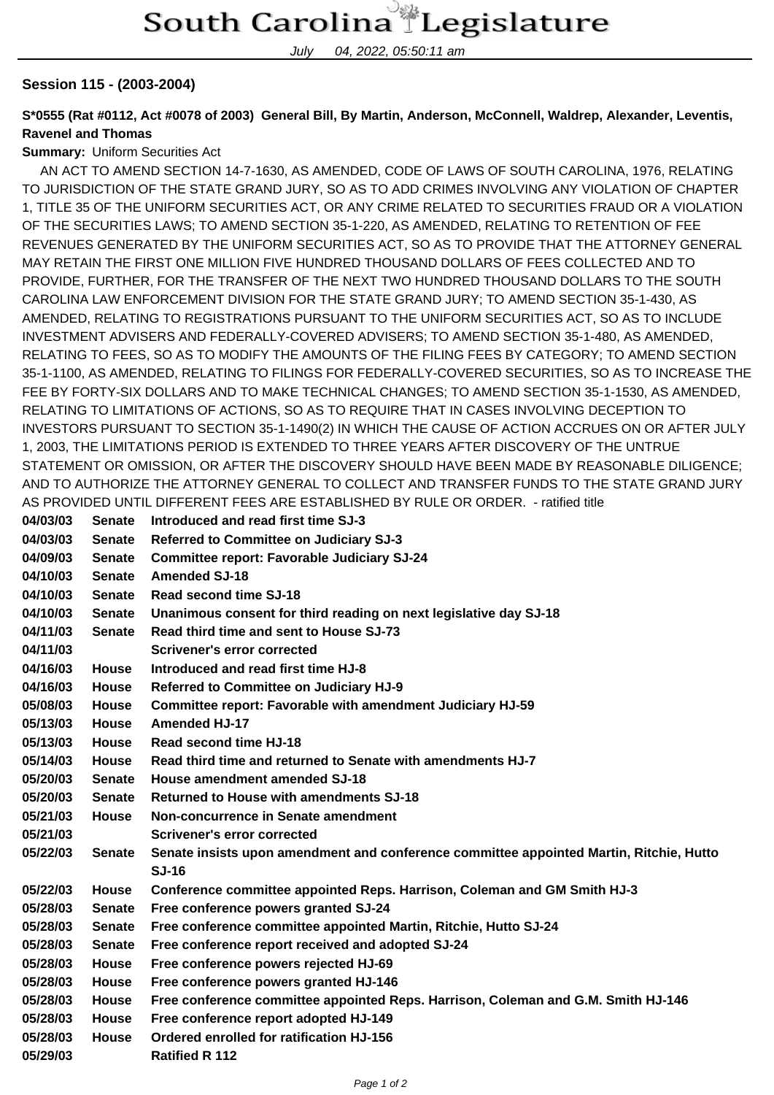July 04, 2022, 05:50:11 am

## **Session 115 - (2003-2004)**

## **S\*0555 (Rat #0112, Act #0078 of 2003) General Bill, By Martin, Anderson, McConnell, Waldrep, Alexander, Leventis, Ravenel and Thomas**

## **Summary:** Uniform Securities Act

 AN ACT TO AMEND SECTION 14-7-1630, AS AMENDED, CODE OF LAWS OF SOUTH CAROLINA, 1976, RELATING TO JURISDICTION OF THE STATE GRAND JURY, SO AS TO ADD CRIMES INVOLVING ANY VIOLATION OF CHAPTER 1, TITLE 35 OF THE UNIFORM SECURITIES ACT, OR ANY CRIME RELATED TO SECURITIES FRAUD OR A VIOLATION OF THE SECURITIES LAWS; TO AMEND SECTION 35-1-220, AS AMENDED, RELATING TO RETENTION OF FEE REVENUES GENERATED BY THE UNIFORM SECURITIES ACT, SO AS TO PROVIDE THAT THE ATTORNEY GENERAL MAY RETAIN THE FIRST ONE MILLION FIVE HUNDRED THOUSAND DOLLARS OF FEES COLLECTED AND TO PROVIDE, FURTHER, FOR THE TRANSFER OF THE NEXT TWO HUNDRED THOUSAND DOLLARS TO THE SOUTH CAROLINA LAW ENFORCEMENT DIVISION FOR THE STATE GRAND JURY; TO AMEND SECTION 35-1-430, AS AMENDED, RELATING TO REGISTRATIONS PURSUANT TO THE UNIFORM SECURITIES ACT, SO AS TO INCLUDE INVESTMENT ADVISERS AND FEDERALLY-COVERED ADVISERS; TO AMEND SECTION 35-1-480, AS AMENDED, RELATING TO FEES, SO AS TO MODIFY THE AMOUNTS OF THE FILING FEES BY CATEGORY; TO AMEND SECTION 35-1-1100, AS AMENDED, RELATING TO FILINGS FOR FEDERALLY-COVERED SECURITIES, SO AS TO INCREASE THE FEE BY FORTY-SIX DOLLARS AND TO MAKE TECHNICAL CHANGES; TO AMEND SECTION 35-1-1530, AS AMENDED, RELATING TO LIMITATIONS OF ACTIONS, SO AS TO REQUIRE THAT IN CASES INVOLVING DECEPTION TO INVESTORS PURSUANT TO SECTION 35-1-1490(2) IN WHICH THE CAUSE OF ACTION ACCRUES ON OR AFTER JULY 1, 2003, THE LIMITATIONS PERIOD IS EXTENDED TO THREE YEARS AFTER DISCOVERY OF THE UNTRUE STATEMENT OR OMISSION, OR AFTER THE DISCOVERY SHOULD HAVE BEEN MADE BY REASONABLE DILIGENCE; AND TO AUTHORIZE THE ATTORNEY GENERAL TO COLLECT AND TRANSFER FUNDS TO THE STATE GRAND JURY AS PROVIDED UNTIL DIFFERENT FEES ARE ESTABLISHED BY RULE OR ORDER. - ratified title

| 04/03/03 | <b>Senate</b> | Introduced and read first time SJ-3                                                     |
|----------|---------------|-----------------------------------------------------------------------------------------|
| 04/03/03 | <b>Senate</b> | Referred to Committee on Judiciary SJ-3                                                 |
| 04/09/03 | <b>Senate</b> | <b>Committee report: Favorable Judiciary SJ-24</b>                                      |
| 04/10/03 | <b>Senate</b> | <b>Amended SJ-18</b>                                                                    |
| 04/10/03 | <b>Senate</b> | Read second time SJ-18                                                                  |
| 04/10/03 | <b>Senate</b> | Unanimous consent for third reading on next legislative day SJ-18                       |
| 04/11/03 | <b>Senate</b> | Read third time and sent to House SJ-73                                                 |
| 04/11/03 |               | <b>Scrivener's error corrected</b>                                                      |
| 04/16/03 | <b>House</b>  | Introduced and read first time HJ-8                                                     |
| 04/16/03 | <b>House</b>  | Referred to Committee on Judiciary HJ-9                                                 |
| 05/08/03 | <b>House</b>  | Committee report: Favorable with amendment Judiciary HJ-59                              |
| 05/13/03 | <b>House</b>  | <b>Amended HJ-17</b>                                                                    |
| 05/13/03 | <b>House</b>  | Read second time HJ-18                                                                  |
| 05/14/03 | <b>House</b>  | Read third time and returned to Senate with amendments HJ-7                             |
| 05/20/03 | <b>Senate</b> | House amendment amended SJ-18                                                           |
| 05/20/03 | <b>Senate</b> | <b>Returned to House with amendments SJ-18</b>                                          |
| 05/21/03 | <b>House</b>  | Non-concurrence in Senate amendment                                                     |
| 05/21/03 |               | <b>Scrivener's error corrected</b>                                                      |
| 05/22/03 | <b>Senate</b> | Senate insists upon amendment and conference committee appointed Martin, Ritchie, Hutto |
|          |               | <b>SJ-16</b>                                                                            |
| 05/22/03 | <b>House</b>  | Conference committee appointed Reps. Harrison, Coleman and GM Smith HJ-3                |
| 05/28/03 | <b>Senate</b> | Free conference powers granted SJ-24                                                    |
| 05/28/03 | <b>Senate</b> | Free conference committee appointed Martin, Ritchie, Hutto SJ-24                        |
| 05/28/03 | <b>Senate</b> | Free conference report received and adopted SJ-24                                       |
| 05/28/03 | <b>House</b>  | Free conference powers rejected HJ-69                                                   |
| 05/28/03 | <b>House</b>  | Free conference powers granted HJ-146                                                   |
| 05/28/03 | <b>House</b>  | Free conference committee appointed Reps. Harrison, Coleman and G.M. Smith HJ-146       |
| 05/28/03 | <b>House</b>  | Free conference report adopted HJ-149                                                   |
| 05/28/03 | <b>House</b>  | Ordered enrolled for ratification HJ-156                                                |
| 05/29/03 |               | <b>Ratified R 112</b>                                                                   |
|          |               |                                                                                         |